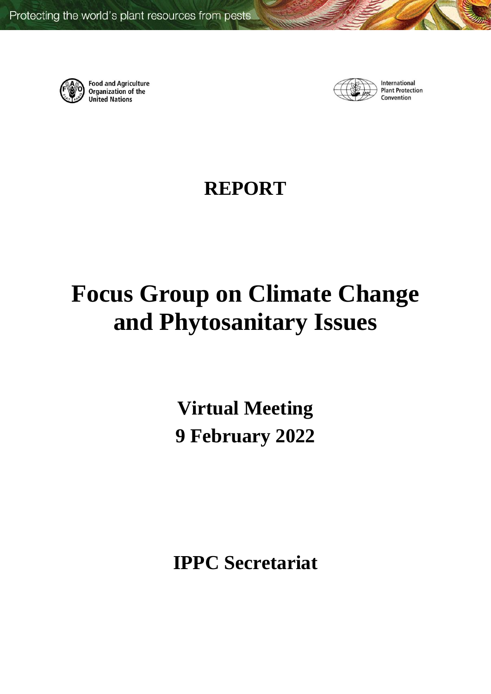

**Food and Agriculture Organization of the United Nations** 



International **Plant Protection** Convention

**REPORT**

# **Focus Group on Climate Change and Phytosanitary Issues**

**Virtual Meeting 9 February 2022**

**IPPC Secretariat**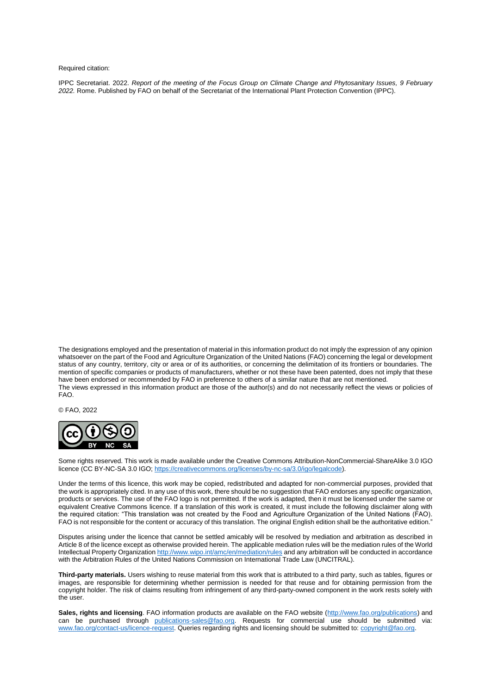Required citation:

IPPC Secretariat. 2022. *Report of the meeting of the Focus Group on Climate Change and Phytosanitary Issues, 9 February 2022.* Rome. Published by FAO on behalf of the Secretariat of the International Plant Protection Convention (IPPC).

The designations employed and the presentation of material in this information product do not imply the expression of any opinion whatsoever on the part of the Food and Agriculture Organization of the United Nations (FAO) concerning the legal or development status of any country, territory, city or area or of its authorities, or concerning the delimitation of its frontiers or boundaries. The mention of specific companies or products of manufacturers, whether or not these have been patented, does not imply that these have been endorsed or recommended by FAO in preference to others of a similar nature that are not mentioned. The views expressed in this information product are those of the author(s) and do not necessarily reflect the views or policies of FAO.

© FAO, 2022



Some rights reserved. This work is made available under the Creative Commons Attribution-NonCommercial-ShareAlike 3.0 IGO licence (CC BY-NC-SA 3.0 IGO; [https://creativecommons.org/licenses/by-nc-sa/3.0/igo/legalcode\)](https://creativecommons.org/licenses/by-nc-sa/3.0/igo/legalcode).

Under the terms of this licence, this work may be copied, redistributed and adapted for non-commercial purposes, provided that the work is appropriately cited. In any use of this work, there should be no suggestion that FAO endorses any specific organization, products or services. The use of the FAO logo is not permitted. If the work is adapted, then it must be licensed under the same or equivalent Creative Commons licence. If a translation of this work is created, it must include the following disclaimer along with the required citation: "This translation was not created by the Food and Agriculture Organization of the United Nations (FAO). FAO is not responsible for the content or accuracy of this translation. The original English edition shall be the authoritative edition."

Disputes arising under the licence that cannot be settled amicably will be resolved by mediation and arbitration as described in Article 8 of the licence except as otherwise provided herein. The applicable mediation rules will be the mediation rules of the World Intellectual Property Organizatio[n http://www.wipo.int/amc/en/mediation/rules](http://www.wipo.int/amc/en/mediation/rules) and any arbitration will be conducted in accordance with the Arbitration Rules of the United Nations Commission on International Trade Law (UNCITRAL).

**Third-party materials.** Users wishing to reuse material from this work that is attributed to a third party, such as tables, figures or images, are responsible for determining whether permission is needed for that reuse and for obtaining permission from the copyright holder. The risk of claims resulting from infringement of any third-party-owned component in the work rests solely with the user.

**Sales, rights and licensing**. FAO information products are available on the FAO website [\(http://www.fao.org/publications\)](http://www.fao.org/publications) and can be purchased through [publications-sales@fao.org.](mailto:publications-sales@fao.org) Requests for commercial use should be submitted via: [www.fao.org/contact-us/licence-request.](http://www.fao.org/contact-us/licence-request) Queries regarding rights and licensing should be submitted to[: copyright@fao.org.](mailto:copyright@fao.org)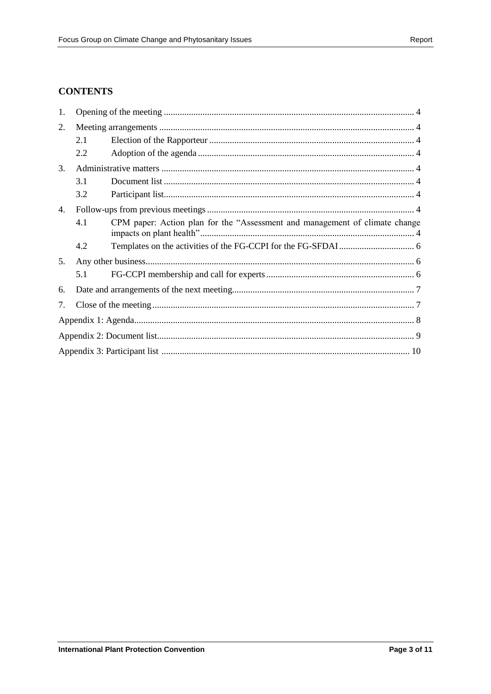# **CONTENTS**

| 1. |     |                                                                             |  |
|----|-----|-----------------------------------------------------------------------------|--|
| 2. |     |                                                                             |  |
|    | 2.1 |                                                                             |  |
|    | 2.2 |                                                                             |  |
| 3. |     |                                                                             |  |
|    | 3.1 |                                                                             |  |
|    | 3.2 |                                                                             |  |
| 4. |     |                                                                             |  |
|    | 4.1 | CPM paper: Action plan for the "Assessment and management of climate change |  |
|    | 4.2 |                                                                             |  |
| 5. |     |                                                                             |  |
|    | 5.1 |                                                                             |  |
| 6. |     |                                                                             |  |
| 7. |     |                                                                             |  |
|    |     |                                                                             |  |
|    |     |                                                                             |  |
|    |     |                                                                             |  |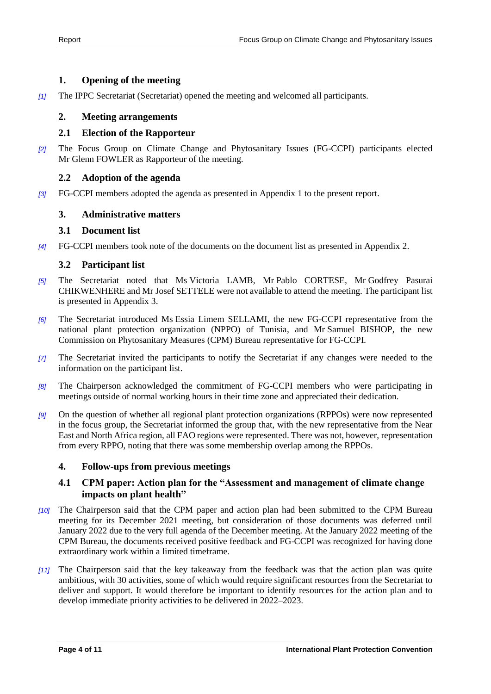# <span id="page-3-0"></span>**1. Opening of the meeting**

*[1]* The IPPC Secretariat (Secretariat) opened the meeting and welcomed all participants.

# <span id="page-3-1"></span>**2. Meeting arrangements**

# <span id="page-3-2"></span>**2.1 Election of the Rapporteur**

*[2]* The Focus Group on Climate Change and Phytosanitary Issues (FG-CCPI) participants elected Mr Glenn FOWLER as Rapporteur of the meeting.

#### <span id="page-3-3"></span>**2.2 Adoption of the agenda**

*[3]* FG-CCPI members adopted the agenda as presented in Appendix 1 to the present report.

# <span id="page-3-4"></span>**3. Administrative matters**

### <span id="page-3-5"></span>**3.1 Document list**

*[4]* FG-CCPI members took note of the documents on the document list as presented in Appendix 2.

#### <span id="page-3-6"></span>**3.2 Participant list**

- *[5]* The Secretariat noted that Ms Victoria LAMB, Mr Pablo CORTESE, Mr Godfrey Pasurai CHIKWENHERE and Mr Josef SETTELE were not available to attend the meeting. The participant list is presented in Appendix 3.
- *[6]* The Secretariat introduced Ms Essia Limem SELLAMI, the new FG-CCPI representative from the national plant protection organization (NPPO) of Tunisia, and Mr Samuel BISHOP, the new Commission on Phytosanitary Measures (CPM) Bureau representative for FG-CCPI.
- *[7]* The Secretariat invited the participants to notify the Secretariat if any changes were needed to the information on the participant list.
- *[8]* The Chairperson acknowledged the commitment of FG-CCPI members who were participating in meetings outside of normal working hours in their time zone and appreciated their dedication.
- *[9]* On the question of whether all regional plant protection organizations (RPPOs) were now represented in the focus group, the Secretariat informed the group that, with the new representative from the Near East and North Africa region, all FAO regions were represented. There was not, however, representation from every RPPO, noting that there was some membership overlap among the RPPOs.

# <span id="page-3-7"></span>**4. Follow-ups from previous meetings**

# <span id="page-3-8"></span>**4.1 CPM paper: Action plan for the "Assessment and management of climate change impacts on plant health"**

- *[10]* The Chairperson said that the CPM paper and action plan had been submitted to the CPM Bureau meeting for its December 2021 meeting, but consideration of those documents was deferred until January 2022 due to the very full agenda of the December meeting. At the January 2022 meeting of the CPM Bureau, the documents received positive feedback and FG-CCPI was recognized for having done extraordinary work within a limited timeframe.
- *[11]* The Chairperson said that the key takeaway from the feedback was that the action plan was quite ambitious, with 30 activities, some of which would require significant resources from the Secretariat to deliver and support. It would therefore be important to identify resources for the action plan and to develop immediate priority activities to be delivered in 2022–2023.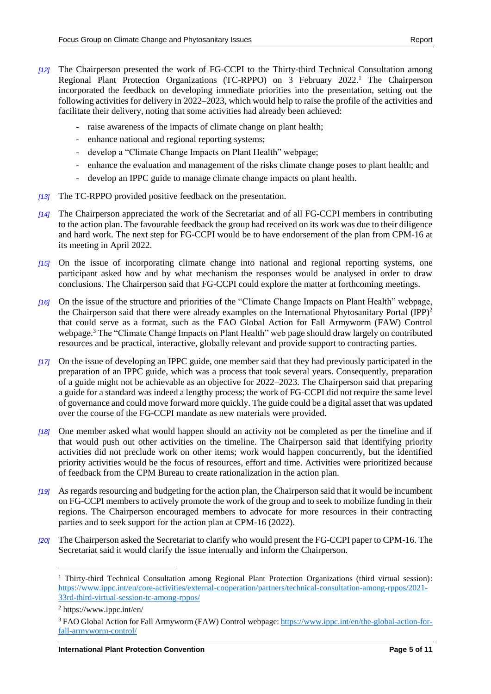- *[12]* The Chairperson presented the work of FG-CCPI to the Thirty-third Technical Consultation among Regional Plant Protection Organizations (TC-RPPO) on 3 February 2022.<sup>1</sup> The Chairperson incorporated the feedback on developing immediate priorities into the presentation, setting out the following activities for delivery in 2022–2023, which would help to raise the profile of the activities and facilitate their delivery, noting that some activities had already been achieved:
	- *-* raise awareness of the impacts of climate change on plant health;
	- *-* enhance national and regional reporting systems;
	- *-* develop a "Climate Change Impacts on Plant Health" webpage;
	- *-* enhance the evaluation and management of the risks climate change poses to plant health; and
	- *-* develop an IPPC guide to manage climate change impacts on plant health.
- *[13]* The TC-RPPO provided positive feedback on the presentation.
- *[14]* The Chairperson appreciated the work of the Secretariat and of all FG-CCPI members in contributing to the action plan. The favourable feedback the group had received on its work was due to their diligence and hard work. The next step for FG-CCPI would be to have endorsement of the plan from CPM-16 at its meeting in April 2022.
- *[15]* On the issue of incorporating climate change into national and regional reporting systems, one participant asked how and by what mechanism the responses would be analysed in order to draw conclusions. The Chairperson said that FG-CCPI could explore the matter at forthcoming meetings.
- *[16]* On the issue of the structure and priorities of the "Climate Change Impacts on Plant Health" webpage, the Chairperson said that there were already examples on the International Phytosanitary Portal  $(IPP)^2$ that could serve as a format, such as the FAO Global Action for Fall Armyworm (FAW) Control webpage.<sup>3</sup> The "Climate Change Impacts on Plant Health" web page should draw largely on contributed resources and be practical, interactive, globally relevant and provide support to contracting parties.
- *[17]* On the issue of developing an IPPC guide, one member said that they had previously participated in the preparation of an IPPC guide, which was a process that took several years. Consequently, preparation of a guide might not be achievable as an objective for 2022–2023. The Chairperson said that preparing a guide for a standard was indeed a lengthy process; the work of FG-CCPI did not require the same level of governance and could move forward more quickly. The guide could be a digital asset that was updated over the course of the FG-CCPI mandate as new materials were provided.
- *[18]* One member asked what would happen should an activity not be completed as per the timeline and if that would push out other activities on the timeline. The Chairperson said that identifying priority activities did not preclude work on other items; work would happen concurrently, but the identified priority activities would be the focus of resources, effort and time. Activities were prioritized because of feedback from the CPM Bureau to create rationalization in the action plan.
- *[19]* As regards resourcing and budgeting for the action plan, the Chairperson said that it would be incumbent on FG-CCPI members to actively promote the work of the group and to seek to mobilize funding in their regions. The Chairperson encouraged members to advocate for more resources in their contracting parties and to seek support for the action plan at CPM-16 (2022).
- *[20]* The Chairperson asked the Secretariat to clarify who would present the FG-CCPI paper to CPM-16. The Secretariat said it would clarify the issue internally and inform the Chairperson.

l

<sup>&</sup>lt;sup>1</sup> Thirty-third Technical Consultation among Regional Plant Protection Organizations (third virtual session): [https://www.ippc.int/en/core-activities/external-cooperation/partners/technical-consultation-among-rppos/2021-](https://www.ippc.int/en/core-activities/external-cooperation/partners/technical-consultation-among-rppos/2021-33rd-third-virtual-session-tc-among-rppos/) [33rd-third-virtual-session-tc-among-rppos/](https://www.ippc.int/en/core-activities/external-cooperation/partners/technical-consultation-among-rppos/2021-33rd-third-virtual-session-tc-among-rppos/)

<sup>2</sup> https://www.ippc.int/en/

<sup>&</sup>lt;sup>3</sup> FAO Global Action for Fall Armyworm (FAW) Control webpage[: https://www.ippc.int/en/the-global-action-for](https://www.ippc.int/en/the-global-action-for-fall-armyworm-control/)[fall-armyworm-control/](https://www.ippc.int/en/the-global-action-for-fall-armyworm-control/)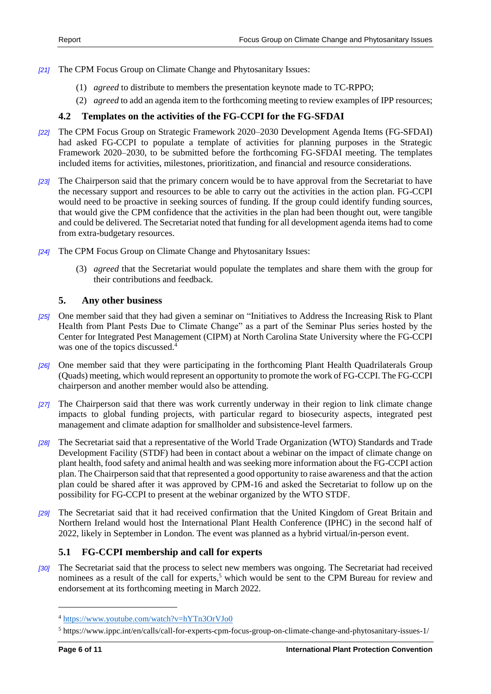- *[21]* The CPM Focus Group on Climate Change and Phytosanitary Issues:
	- (1) *agreed* to distribute to members the presentation keynote made to TC-RPPO;
	- (2) *agreed* to add an agenda item to the forthcoming meeting to review examples of IPP resources;

# <span id="page-5-0"></span>**4.2 Templates on the activities of the FG-CCPI for the FG-SFDAI**

- *[22]* The CPM Focus Group on Strategic Framework 2020–2030 Development Agenda Items (FG-SFDAI) had asked FG-CCPI to populate a template of activities for planning purposes in the Strategic Framework 2020–2030, to be submitted before the forthcoming FG-SFDAI meeting. The templates included items for activities, milestones, prioritization, and financial and resource considerations.
- *[23]* The Chairperson said that the primary concern would be to have approval from the Secretariat to have the necessary support and resources to be able to carry out the activities in the action plan. FG-CCPI would need to be proactive in seeking sources of funding. If the group could identify funding sources, that would give the CPM confidence that the activities in the plan had been thought out, were tangible and could be delivered. The Secretariat noted that funding for all development agenda items had to come from extra-budgetary resources.
- *[24]* The CPM Focus Group on Climate Change and Phytosanitary Issues:
	- (3) *agreed* that the Secretariat would populate the templates and share them with the group for their contributions and feedback.

# <span id="page-5-1"></span>**5. Any other business**

- *[25]* One member said that they had given a seminar on "Initiatives to Address the Increasing Risk to Plant Health from Plant Pests Due to Climate Change" as a part of the Seminar Plus series hosted by the Center for Integrated Pest Management (CIPM) at North Carolina State University where the FG-CCPI was one of the topics discussed.<sup>4</sup>
- *[26]* One member said that they were participating in the forthcoming Plant Health Quadrilaterals Group (Quads) meeting, which would represent an opportunity to promote the work of FG-CCPI. The FG-CCPI chairperson and another member would also be attending.
- *[27]* The Chairperson said that there was work currently underway in their region to link climate change impacts to global funding projects, with particular regard to biosecurity aspects, integrated pest management and climate adaption for smallholder and subsistence-level farmers.
- *[28]* The Secretariat said that a representative of the World Trade Organization (WTO) Standards and Trade Development Facility (STDF) had been in contact about a webinar on the impact of climate change on plant health, food safety and animal health and was seeking more information about the FG-CCPI action plan. The Chairperson said that that represented a good opportunity to raise awareness and that the action plan could be shared after it was approved by CPM-16 and asked the Secretariat to follow up on the possibility for FG-CCPI to present at the webinar organized by the WTO STDF.
- *[29]* The Secretariat said that it had received confirmation that the United Kingdom of Great Britain and Northern Ireland would host the International Plant Health Conference (IPHC) in the second half of 2022, likely in September in London. The event was planned as a hybrid virtual/in-person event.

# <span id="page-5-2"></span>**5.1 FG-CCPI membership and call for experts**

*[30]* The Secretariat said that the process to select new members was ongoing. The Secretariat had received nominees as a result of the call for experts,<sup>5</sup> which would be sent to the CPM Bureau for review and endorsement at its forthcoming meeting in March 2022.

 $\overline{\phantom{a}}$ 

<sup>4</sup> <https://www.youtube.com/watch?v=hYTn3OrVJo0>

<sup>5</sup> https://www.ippc.int/en/calls/call-for-experts-cpm-focus-group-on-climate-change-and-phytosanitary-issues-1/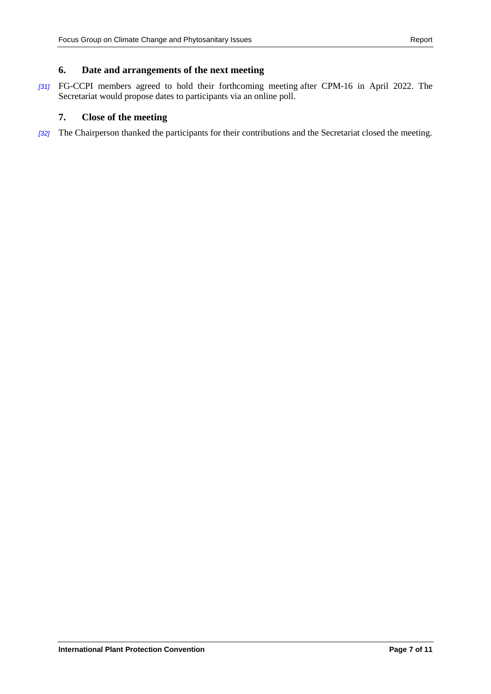#### <span id="page-6-0"></span>**6. Date and arrangements of the next meeting**

*[31]* FG-CCPI members agreed to hold their forthcoming meeting after CPM-16 in April 2022. The Secretariat would propose dates to participants via an online poll.

# <span id="page-6-1"></span>**7. Close of the meeting**

*[32]* The Chairperson thanked the participants for their contributions and the Secretariat closed the meeting.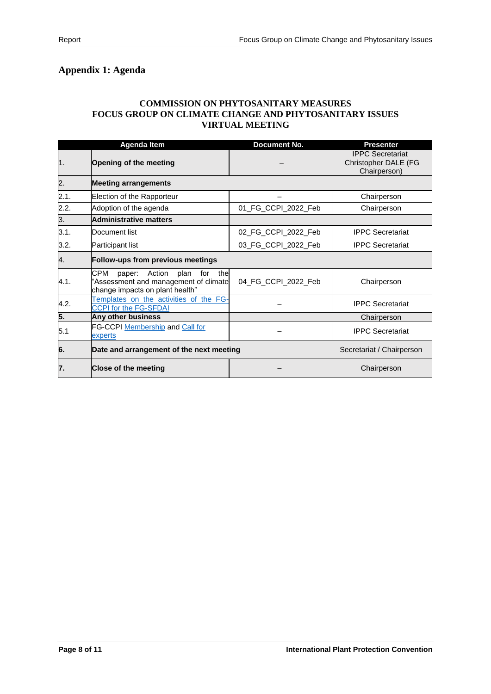# <span id="page-7-0"></span>**Appendix 1: Agenda**

#### **COMMISSION ON PHYTOSANITARY MEASURES FOCUS GROUP ON CLIMATE CHANGE AND PHYTOSANITARY ISSUES VIRTUAL MEETING**

|               | <b>Agenda Item</b>                                                                                                        | Document No.        | <b>Presenter</b>                                                |
|---------------|---------------------------------------------------------------------------------------------------------------------------|---------------------|-----------------------------------------------------------------|
| $\mathbf 1$ . | Opening of the meeting                                                                                                    |                     | <b>IPPC Secretariat</b><br>Christopher DALE (FG<br>Chairperson) |
| 2.            | <b>Meeting arrangements</b>                                                                                               |                     |                                                                 |
| 2.1.          | Election of the Rapporteur                                                                                                |                     | Chairperson                                                     |
| 2.2.          | Adoption of the agenda                                                                                                    | 01_FG_CCPI_2022_Feb | Chairperson                                                     |
| 3.            | <b>Administrative matters</b>                                                                                             |                     |                                                                 |
| 3.1.          | Document list                                                                                                             | 02_FG_CCPI_2022_Feb | <b>IPPC Secretariat</b>                                         |
| 3.2.          | Participant list                                                                                                          | 03_FG_CCPI_2022_Feb | <b>IPPC Secretariat</b>                                         |
| 4.            | Follow-ups from previous meetings                                                                                         |                     |                                                                 |
| 4.1.          | CPM<br>Action<br>plan<br>for<br>the<br>paper:<br>'Assessment and management of climate<br>change impacts on plant health" | 04_FG_CCPI_2022_Feb | Chairperson                                                     |
| 4.2.          | Templates on the activities of the FG-<br><b>CCPI for the FG-SFDAI</b>                                                    |                     | <b>IPPC Secretariat</b>                                         |
| 5.            | Any other business                                                                                                        |                     | Chairperson                                                     |
| 5.1           | FG-CCPI Membership and Call for<br>experts                                                                                |                     | <b>IPPC Secretariat</b>                                         |
| 6.            | Date and arrangement of the next meeting                                                                                  |                     | Secretariat / Chairperson                                       |
| 7.            | <b>Close of the meeting</b>                                                                                               |                     | Chairperson                                                     |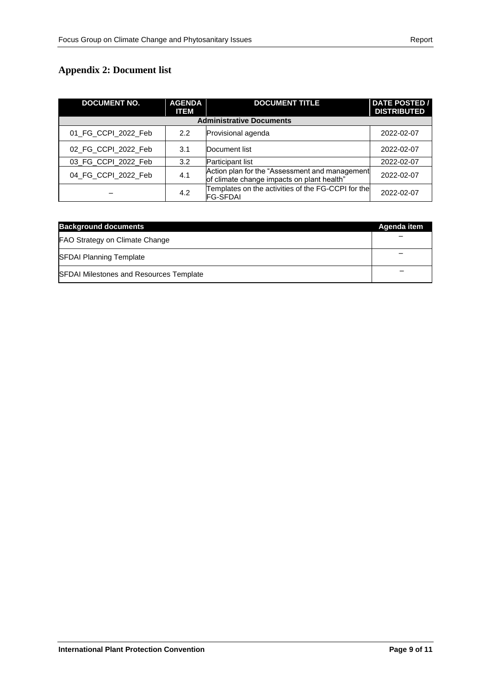# <span id="page-8-0"></span>**Appendix 2: Document list**

| <b>DOCUMENT NO.</b>             | <b>AGENDA</b><br><b>ITEM</b> | <b>DOCUMENT TITLE</b>                                                                        | <b>DATE POSTED /</b><br><b>DISTRIBUTED</b> |  |
|---------------------------------|------------------------------|----------------------------------------------------------------------------------------------|--------------------------------------------|--|
| <b>Administrative Documents</b> |                              |                                                                                              |                                            |  |
| 01_FG_CCPI_2022_Feb             | 2.2                          | Provisional agenda                                                                           | 2022-02-07                                 |  |
| 02 FG CCPI 2022 Feb             | 3.1                          | lDocument list                                                                               | 2022-02-07                                 |  |
| 03_FG_CCPI_2022_Feb             | 3.2                          | Participant list                                                                             | 2022-02-07                                 |  |
| 04 FG CCPI 2022 Feb             | 4.1                          | Action plan for the "Assessment and management<br>of climate change impacts on plant health" | 2022-02-07                                 |  |
|                                 | 4.2                          | Templates on the activities of the FG-CCPI for the<br>FG-SFDAI                               | 2022-02-07                                 |  |

| <b>Background documents</b>                    | Agenda item |
|------------------------------------------------|-------------|
| <b>FAO Strategy on Climate Change</b>          |             |
| <b>SFDAI Planning Template</b>                 |             |
| <b>SFDAI Milestones and Resources Template</b> |             |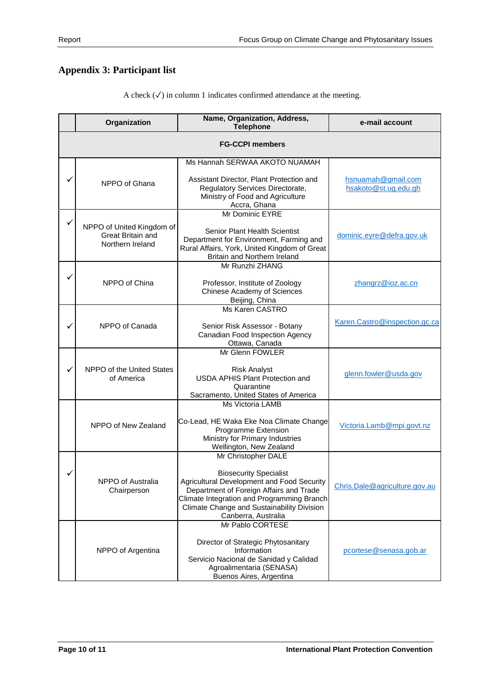# <span id="page-9-0"></span>**Appendix 3: Participant list**

|                        | Organization                                                       | Name, Organization, Address,<br><b>Telephone</b>                                                                                                                                                                                                                 | e-mail account                             |  |
|------------------------|--------------------------------------------------------------------|------------------------------------------------------------------------------------------------------------------------------------------------------------------------------------------------------------------------------------------------------------------|--------------------------------------------|--|
| <b>FG-CCPI members</b> |                                                                    |                                                                                                                                                                                                                                                                  |                                            |  |
|                        | NPPO of Ghana                                                      | Ms Hannah SERWAA AKOTO NUAMAH<br>Assistant Director, Plant Protection and<br>Regulatory Services Directorate,<br>Ministry of Food and Agriculture<br>Accra, Ghana                                                                                                | hsnuamah@gmail.com<br>hsakoto@st.ug.edu.gh |  |
|                        | NPPO of United Kingdom of<br>Great Britain and<br>Northern Ireland | Mr Dominic EYRE<br>Senior Plant Health Scientist<br>Department for Environment, Farming and<br>Rural Affairs, York, United Kingdom of Great<br>Britain and Northern Ireland                                                                                      | dominic.eyre@defra.gov.uk                  |  |
|                        | NPPO of China                                                      | Mr Runzhi ZHANG<br>Professor, Institute of Zoology<br>Chinese Academy of Sciences<br>Beijing, China                                                                                                                                                              | zhangrz@ioz.ac.cn                          |  |
|                        | NPPO of Canada                                                     | Ms Karen CASTRO<br>Senior Risk Assessor - Botany<br>Canadian Food Inspection Agency<br>Ottawa, Canada                                                                                                                                                            | Karen.Castro@inspection.gc.ca              |  |
|                        | NPPO of the United States<br>of America                            | Mr Glenn FOWLER<br><b>Risk Analyst</b><br>USDA APHIS Plant Protection and<br>Quarantine<br>Sacramento, United States of America                                                                                                                                  | glenn.fowler@usda.gov                      |  |
|                        | NPPO of New Zealand                                                | Ms Victoria LAMB<br>Co-Lead, HE Waka Eke Noa Climate Change<br>Programme Extension<br>Ministry for Primary Industries<br>Wellington, New Zealand                                                                                                                 | Victoria.Lamb@mpi.govt.nz                  |  |
|                        | NPPO of Australia<br>Chairperson                                   | Mr Christopher DALE<br><b>Biosecurity Specialist</b><br>Agricultural Development and Food Security<br>Department of Foreign Affairs and Trade<br>Climate Integration and Programming Branch<br>Climate Change and Sustainability Division<br>Canberra, Australia | Chris.Dale@agriculture.gov.au              |  |
|                        | NPPO of Argentina                                                  | Mr Pablo CORTESE<br>Director of Strategic Phytosanitary<br>Information<br>Servicio Nacional de Sanidad y Calidad<br>Agroalimentaria (SENASA)<br>Buenos Aires, Argentina                                                                                          | pcortese@senasa.gob.ar                     |  |

A check  $(\checkmark)$  in column 1 indicates confirmed attendance at the meeting.